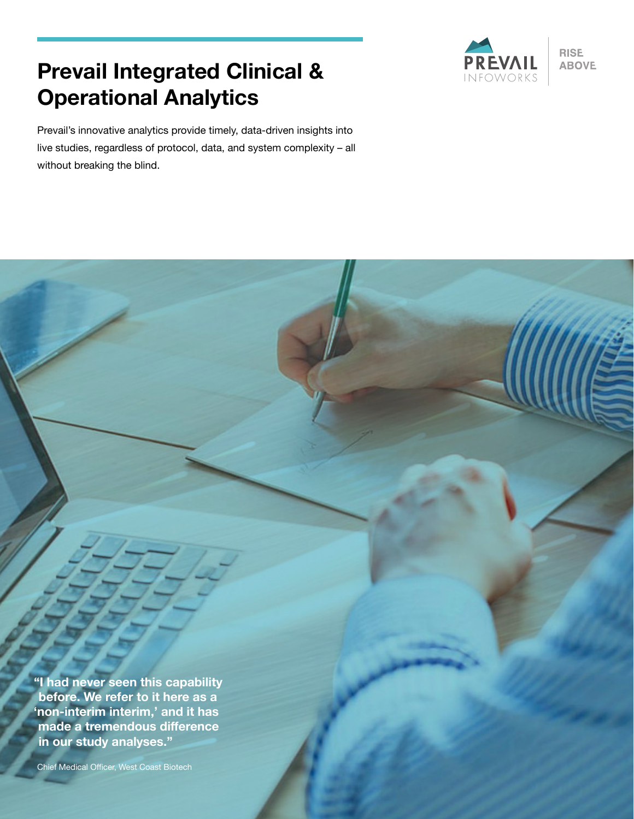# **Prevail Integrated Clinical & Operational Analytics**

Prevail's innovative analytics provide timely, data-driven insights into live studies, regardless of protocol, data, and system complexity – all without breaking the blind.



**RISE ABOVE** 

**"I had never seen this capability before. We refer to it here as a 'non-interim interim,' and it has made a tremendous difference in our study analyses."**

Chief Medical Officer, West Coast Biotech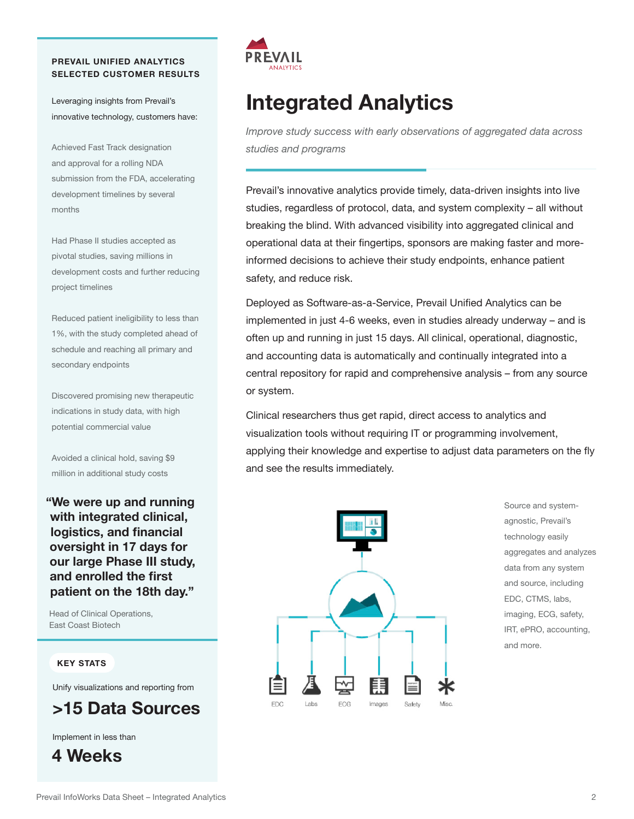## **PREVAIL UNIFIED ANALYTICS SELECTED CUSTOMER RESULTS**

Leveraging insights from Prevail's innovative technology, customers have:

Achieved Fast Track designation and approval for a rolling NDA submission from the FDA, accelerating development timelines by several months

Had Phase II studies accepted as pivotal studies, saving millions in development costs and further reducing project timelines

Reduced patient ineligibility to less than 1%, with the study completed ahead of schedule and reaching all primary and secondary endpoints

Discovered promising new therapeutic indications in study data, with high potential commercial value

Avoided a clinical hold, saving \$9 million in additional study costs

**"We were up and running with integrated clinical, logistics, and financial oversight in 17 days for our large Phase III study, and enrolled the first patient on the 18th day."**

Head of Clinical Operations, East Coast Biotech

#### **KEY STATS**

Unify visualizations and reporting from

# **>15 Data Sources**

Implement in less than





# **Integrated Analytics**

*Improve study success with early observations of aggregated data across studies and programs* 

Prevail's innovative analytics provide timely, data-driven insights into live studies, regardless of protocol, data, and system complexity – all without breaking the blind. With advanced visibility into aggregated clinical and operational data at their fingertips, sponsors are making faster and moreinformed decisions to achieve their study endpoints, enhance patient safety, and reduce risk.

Deployed as Software-as-a-Service, Prevail Unified Analytics can be implemented in just 4-6 weeks, even in studies already underway – and is often up and running in just 15 days. All clinical, operational, diagnostic, and accounting data is automatically and continually integrated into a central repository for rapid and comprehensive analysis – from any source or system.

Clinical researchers thus get rapid, direct access to analytics and visualization tools without requiring IT or programming involvement, applying their knowledge and expertise to adjust data parameters on the fly and see the results immediately.



Source and systemagnostic, Prevail's technology easily aggregates and analyzes data from any system and source, including EDC, CTMS, labs, imaging, ECG, safety, IRT, ePRO, accounting, and more.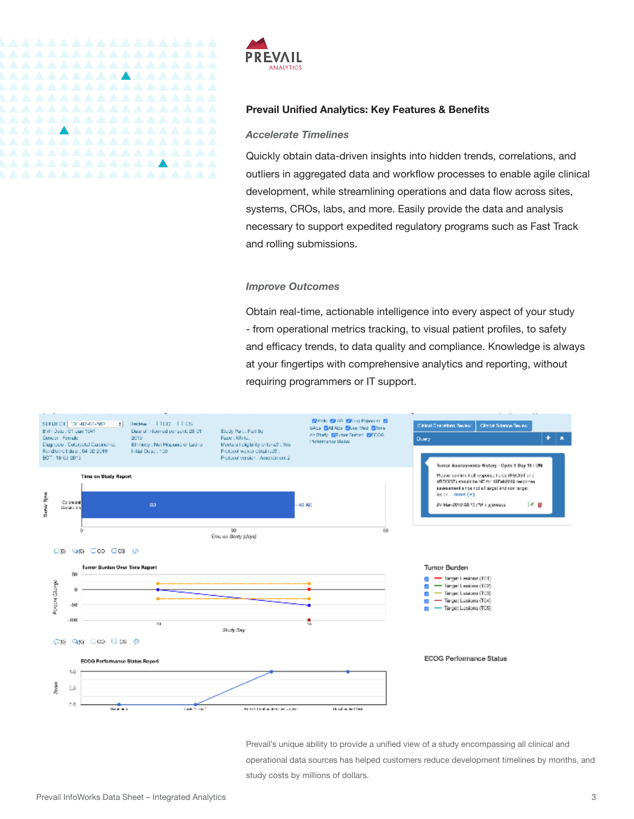

### **Prevail Unified Analytics: Key Features & Benefits**

#### *Accelerate Timelines*

Quickly obtain data-driven insights into hidden trends, correlations, and outliers in aggregated data and workflow processes to enable agile clinical development, while streamlining operations and data flow across sites, systems, CROs, labs, and more. Easily provide the data and analysis necessary to support expedited regulatory programs such as Fast Track and rolling submissions.

#### *Improve Outcomes*

Obtain real-time, actionable intelligence into every aspect of your study - from operational metrics tracking, to visual patient profiles, to safety and efficacy trends, to data quality and compliance. Knowledge is always at your fingertips with comprehensive analytics and reporting, without requiring programmers or IT support.



Prevail's unique ability to provide a unified view of a study encompassing all clinical and operational data sources has helped customers reduce development timelines by months, and study costs by millions of dollars.

*AAAAAAAAAAA*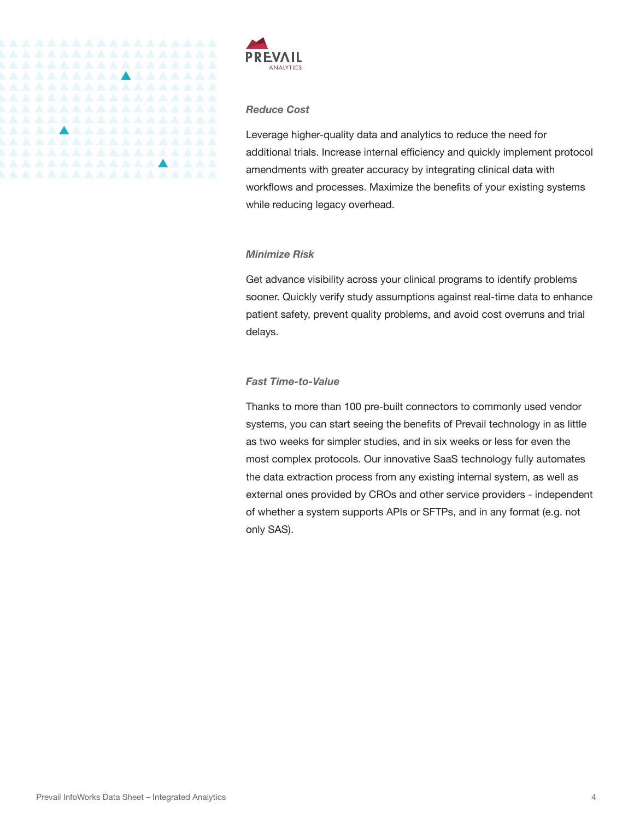

# *Reduce Cost*

Leverage higher-quality data and analytics to reduce the need for additional trials. Increase internal efficiency and quickly implement protocol amendments with greater accuracy by integrating clinical data with workflows and processes. Maximize the benefits of your existing systems while reducing legacy overhead.

#### *Minimize Risk*

Get advance visibility across your clinical programs to identify problems sooner. Quickly verify study assumptions against real-time data to enhance patient safety, prevent quality problems, and avoid cost overruns and trial delays.

# *Fast Time-to-Value*

Thanks to more than 100 pre-built connectors to commonly used vendor systems, you can start seeing the benefits of Prevail technology in as little as two weeks for simpler studies, and in six weeks or less for even the most complex protocols. Our innovative SaaS technology fully automates the data extraction process from any existing internal system, as well as external ones provided by CROs and other service providers - independent of whether a system supports APIs or SFTPs, and in any format (e.g. not only SAS).

<u> AAAAAAAAAAAAAAA</u>

<u> AAAAAAAAAAAAAAAA</u>

<u>\AAAAAAAAAAAAAAAA</u>